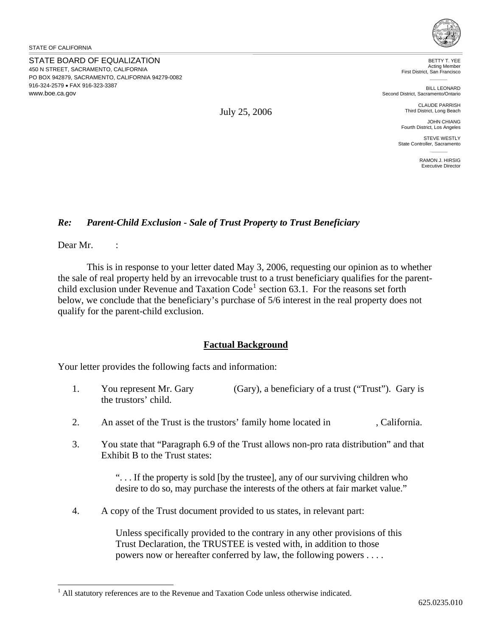STATE BOARD OF EQUALIZATION 450 N STREET, SACRAMENTO, CALIFORNIA PO BOX 942879, SACRAMENTO, CALIFORNIA 94279-0082 916-324-2579 • FAX 916-323-3387 www.boe.ca.gov



BETTY T. YEE Acting Member First District, San Francisco

BILL LEONARD Second District, Sacramento/Ontario

> CLAUDE PARRISH Third District, Long Beach

JOHN CHIANG Fourth District, Los Angeles

STEVE WESTLY State Controller, Sacramento

> RAMON J. HIRSIG Executive Director

## *Re: Parent-Child Exclusion - Sale of Trust Property to Trust Beneficiary*

Dear Mr. :

 $\overline{a}$ 

 This is in response to your letter dated May 3, 2006, requesting our opinion as to whether the sale of real property held by an irrevocable trust to a trust beneficiary qualifies for the parent-child exclusion under Revenue and Taxation Code<sup>[1](#page-0-0)</sup> section 63.1. For the reasons set forth below, we conclude that the beneficiary's purchase of 5/6 interest in the real property does not qualify for the parent-child exclusion.

## **Factual Background**

Your letter provides the following facts and information:

- 1. You represent Mr. Gary (Gary), a beneficiary of a trust ("Trust"). Gary is the trustors' child.
- 2. An asset of the Trust is the trustors' family home located in , California.
- 3. You state that "Paragraph 6.9 of the Trust allows non-pro rata distribution" and that Exhibit B to the Trust states:

". . . If the property is sold [by the trustee], any of our surviving children who desire to do so, may purchase the interests of the others at fair market value."

4. A copy of the Trust document provided to us states, in relevant part:

Unless specifically provided to the contrary in any other provisions of this Trust Declaration, the TRUSTEE is vested with, in addition to those powers now or hereafter conferred by law, the following powers . . . .

July 25, 2006

<span id="page-0-0"></span><sup>&</sup>lt;sup>1</sup> All statutory references are to the Revenue and Taxation Code unless otherwise indicated.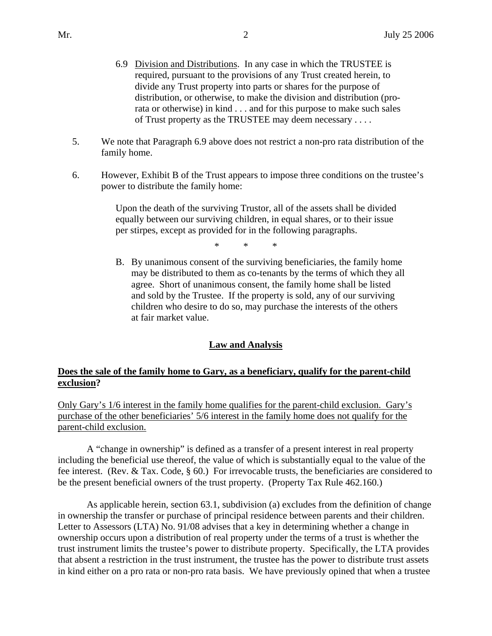- 6.9 Division and Distributions. In any case in which the TRUSTEE is required, pursuant to the provisions of any Trust created herein, to divide any Trust property into parts or shares for the purpose of distribution, or otherwise, to make the division and distribution (prorata or otherwise) in kind . . . and for this purpose to make such sales of Trust property as the TRUSTEE may deem necessary . . . .
- 5. We note that Paragraph 6.9 above does not restrict a non-pro rata distribution of the family home.
- 6. However, Exhibit B of the Trust appears to impose three conditions on the trustee's power to distribute the family home:

Upon the death of the surviving Trustor, all of the assets shall be divided equally between our surviving children, in equal shares, or to their issue per stirpes, except as provided for in the following paragraphs.

\* \* \*

B. By unanimous consent of the surviving beneficiaries, the family home may be distributed to them as co-tenants by the terms of which they all agree. Short of unanimous consent, the family home shall be listed and sold by the Trustee. If the property is sold, any of our surviving children who desire to do so, may purchase the interests of the others at fair market value.

## **Law and Analysis**

## **Does the sale of the family home to Gary, as a beneficiary, qualify for the parent-child exclusion?**

Only Gary's 1/6 interest in the family home qualifies for the parent-child exclusion. Gary's purchase of the other beneficiaries' 5/6 interest in the family home does not qualify for the parent-child exclusion.

A "change in ownership" is defined as a transfer of a present interest in real property including the beneficial use thereof, the value of which is substantially equal to the value of the fee interest. (Rev. & Tax. Code, § 60.) For irrevocable trusts, the beneficiaries are considered to be the present beneficial owners of the trust property. (Property Tax Rule 462.160.)

As applicable herein, section 63.1, subdivision (a) excludes from the definition of change in ownership the transfer or purchase of principal residence between parents and their children. Letter to Assessors (LTA) No. 91/08 advises that a key in determining whether a change in ownership occurs upon a distribution of real property under the terms of a trust is whether the trust instrument limits the trustee's power to distribute property. Specifically, the LTA provides that absent a restriction in the trust instrument, the trustee has the power to distribute trust assets in kind either on a pro rata or non-pro rata basis. We have previously opined that when a trustee